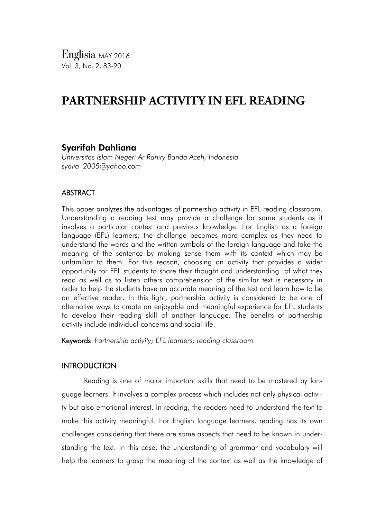*Englisia* MAY <sup>2016</sup> Vol. 3, No. 2, 83-90

# **PARTNERSHIP ACTIVITY IN EFL READING**

# Syarifah Dahliana

*Universitas Islam Negeri Ar-Raniry Banda Aceh, Indonesia syalia\_2005@yahoo.com*

## ABSTRACT

This paper analyzes the advantages of partnership activity in EFL reading classroom. Understanding a reading text may provide a challenge for some students as it involves a particular context and previous knowledge. For English as a foreign language (EFL) learners, the challenge becomes more complex as they need to understand the words and the written symbols of the foreign language and take the meaning of the sentence by making sense them with its context which may be unfamiliar to them. For this reason, choosing an activity that provides a wider opportunity for EFL students to share their thought and understanding of what they read as well as to listen others comprehension of the similar text is necessary in order to help the students have an accurate meaning of the text and learn how to be an effective reader. In this light, partnership activity is considered to be one of alternative ways to create an enjoyable and meaningful experience for EFL students to develop their reading skill of another language. The benefits of partnership activity include individual concerns and social life.

Keywords: *Partnership activity; EFL learners; reading classroom.*

### **INTRODUCTION**

Reading is one of major important skills that need to be mastered by language learners. It involves a complex process which includes not only physical activity but also emotional interest. In reading, the readers need to understand the text to make this activity meaningful. For English language learners, reading has its own challenges considering that there are some aspects that need to be known in understanding the text. In this case, the understanding of grammar and vocabulary will help the learners to grasp the meaning of the context as well as the knowledge of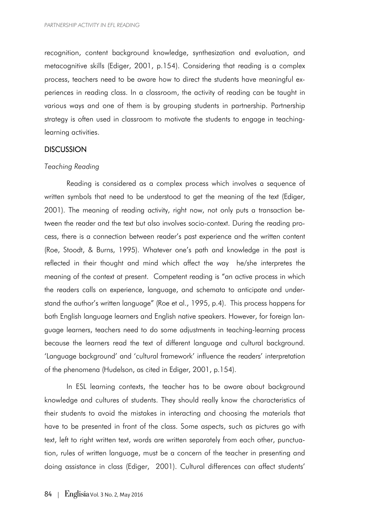recognition, content background knowledge, synthesization and evaluation, and metacognitive skills (Ediger, 2001, p.154). Considering that reading is a complex process, teachers need to be aware how to direct the students have meaningful experiences in reading class. In a classroom, the activity of reading can be taught in various ways and one of them is by grouping students in partnership. Partnership strategy is often used in classroom to motivate the students to engage in teachinglearning activities.

## **DISCUSSION**

#### *Teaching Reading*

Reading is considered as a complex process which involves a sequence of written symbols that need to be understood to get the meaning of the text (Ediger, 2001). The meaning of reading activity, right now, not only puts a transaction between the reader and the text but also involves socio-context. During the reading process, there is a connection between reader's past experience and the written content (Roe, Stoodt, & Burns, 1995). Whatever one's path and knowledge in the past is reflected in their thought and mind which affect the way he/she interpretes the meaning of the context at present. Competent reading is "an active process in which the readers calls on experience, language, and schemata to anticipate and understand the author's written language" (Roe et al., 1995, p.4). This process happens for both English language learners and English native speakers. However, for foreign language learners, teachers need to do some adjustments in teaching-learning process because the learners read the text of different language and cultural background. 'Language background' and 'cultural framework' influence the readers' interpretation of the phenomena (Hudelson, as cited in Ediger, 2001, p.154).

In ESL learning contexts, the teacher has to be aware about background knowledge and cultures of students. They should really know the characteristics of their students to avoid the mistakes in interacting and choosing the materials that have to be presented in front of the class. Some aspects, such as pictures go with text, left to right written text, words are written separately from each other, punctuation, rules of written language, must be a concern of the teacher in presenting and doing assistance in class (Ediger, 2001). Cultural differences can affect students'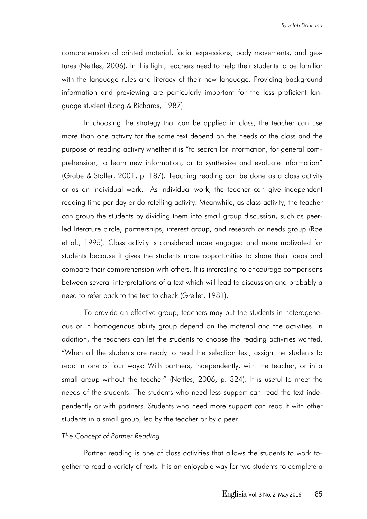comprehension of printed material, facial expressions, body movements, and gestures (Nettles, 2006). In this light, teachers need to help their students to be familiar with the language rules and literacy of their new language. Providing background information and previewing are particularly important for the less proficient language student (Long & Richards, 1987).

In choosing the strategy that can be applied in class, the teacher can use more than one activity for the same text depend on the needs of the class and the purpose of reading activity whether it is "to search for information, for general comprehension, to learn new information, or to synthesize and evaluate information" (Grabe & Stoller, 2001, p. 187). Teaching reading can be done as a class activity or as an individual work. As individual work, the teacher can give independent reading time per day or do retelling activity. Meanwhile, as class activity, the teacher can group the students by dividing them into small group discussion, such as peerled literature circle, partnerships, interest group, and research or needs group (Roe et al., 1995). Class activity is considered more engaged and more motivated for students because it gives the students more opportunities to share their ideas and compare their comprehension with others. It is interesting to encourage comparisons between several interpretations of a text which will lead to discussion and probably a need to refer back to the text to check (Grellet, 1981).

To provide an effective group, teachers may put the students in heterogeneous or in homogenous ability group depend on the material and the activities. In addition, the teachers can let the students to choose the reading activities wanted. "When all the students are ready to read the selection text, assign the students to read in one of four ways: With partners, independently, with the teacher, or in a small group without the teacher" (Nettles, 2006, p. 324). It is useful to meet the needs of the students. The students who need less support can read the text independently or with partners. Students who need more support can read it with other students in a small group, led by the teacher or by a peer.

#### *The Concept of Partner Reading*

Partner reading is one of class activities that allows the students to work together to read a variety of texts. It is an enjoyable way for two students to complete a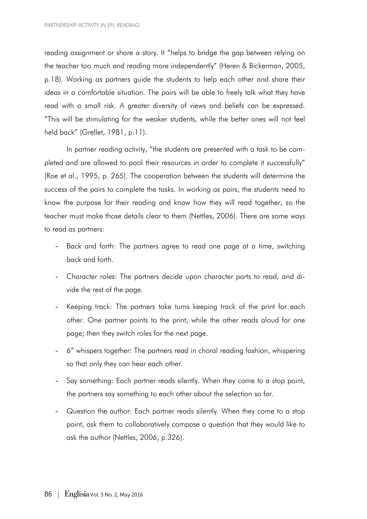reading assignment or share a story. It "helps to bridge the gap between relying on the teacher too much and reading more independently" (Heren & Bickerman, 2005, p.18). Working as partners guide the students to help each other and share their ideas in a comfortable situation. The pairs will be able to freely talk what they have read with a small risk. A greater diversity of views and beliefs can be expressed. "This will be stimulating for the weaker students, while the better ones will not feel held back" (Grellet, 1981, p.11).

In partner reading activity, "the students are presented with a task to be completed and are allowed to pool their resources in order to complete it successfully" (Roe et al., 1995, p. 265). The cooperation between the students will determine the success of the pairs to complete the tasks. In working as pairs, the students need to know the purpose for their reading and know how they will read together, so the teacher must make those details clear to them (Nettles, 2006). There are some ways to read as partners:

- Back and forth: The partners agree to read one page at a time, switching back and forth.
- Character roles: The partners decide upon character parts to read, and divide the rest of the page.
- Keeping track: The partners take turns keeping track of the print for each other. One partner points to the print, while the other reads aloud for one page; then they switch roles for the next page.
- 6" whispers together: The partners read in choral reading fashion, whispering so that only they can hear each other.
- Say something: Each partner reads silently. When they come to a stop point, the partners say something to each other about the selection so far.
- Question the author: Each partner reads silently. When they come to a stop point, ask them to collaboratively compose a question that they would like to ask the author (Nettles, 2006, p.326).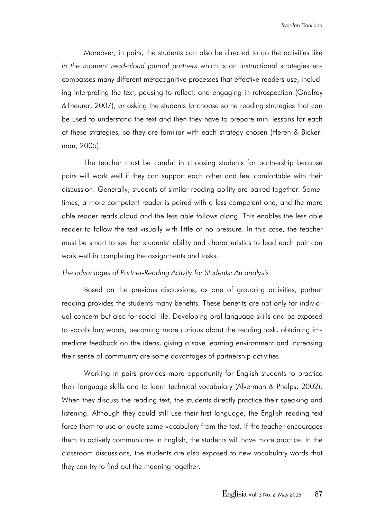Moreover, in pairs, the students can also be directed to do the activities like *in the moment read-aloud journal partners* which is an instructional strategies encompasses many different metacognitive processes that effective readers use, including interpreting the text, pausing to reflect, and engaging in retrospection (Onofrey &Theurer, 2007), or asking the students to choose some reading strategies that can be used to understand the text and then they have to prepare mini lessons for each of these strategies, so they are familiar with each strategy chosen (Heren & Bickerman, 2005).

The teacher must be careful in choosing students for partnership because pairs will work well if they can support each other and feel comfortable with their discussion. Generally, students of similar reading ability are paired together. Sometimes, a more competent reader is paired with a less competent one, and the more able reader reads aloud and the less able follows along. This enables the less able reader to follow the text visually with little or no pressure. In this case, the teacher must be smart to see her students' ability and characteristics to lead each pair can work well in completing the assignments and tasks.

#### *The advantages of Partner-Reading Activity for Students: An analysis*

Based on the previous discussions, as one of grouping activities, partner reading provides the students many benefits. These benefits are not only for individual concern but also for social life. Developing oral language skills and be exposed to vocabulary words, becoming more curious about the reading task, obtaining immediate feedback on the ideas, giving a save learning environment and increasing their sense of community are some advantages of partnership activities.

Working in pairs provides more opportunity for English students to practice their language skills and to learn technical vocabulary (Alverman & Phelps, 2002). When they discuss the reading text, the students directly practice their speaking and listening. Although they could still use their first language, the English reading text force them to use or quote some vocabulary from the text. If the teacher encourages them to actively communicate in English, the students will have more practice. In the classroom discussions, the students are also exposed to new vocabulary words that they can try to find out the meaning together.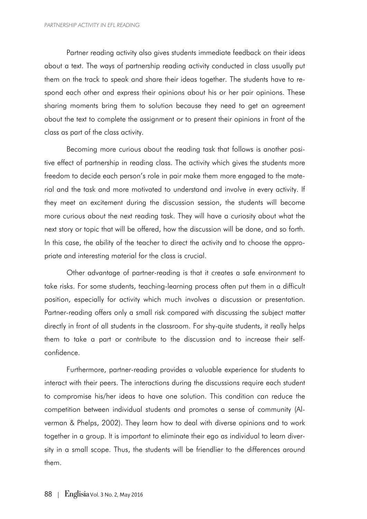Partner reading activity also gives students immediate feedback on their ideas about a text. The ways of partnership reading activity conducted in class usually put them on the track to speak and share their ideas together. The students have to respond each other and express their opinions about his or her pair opinions. These sharing moments bring them to solution because they need to get an agreement about the text to complete the assignment or to present their opinions in front of the class as part of the class activity.

Becoming more curious about the reading task that follows is another positive effect of partnership in reading class. The activity which gives the students more freedom to decide each person's role in pair make them more engaged to the material and the task and more motivated to understand and involve in every activity. If they meet an excitement during the discussion session, the students will become more curious about the next reading task. They will have a curiosity about what the next story or topic that will be offered, how the discussion will be done, and so forth. In this case, the ability of the teacher to direct the activity and to choose the appropriate and interesting material for the class is crucial.

Other advantage of partner-reading is that it creates a safe environment to take risks. For some students, teaching-learning process often put them in a difficult position, especially for activity which much involves a discussion or presentation. Partner-reading offers only a small risk compared with discussing the subject matter directly in front of all students in the classroom. For shy-quite students, it really helps them to take a part or contribute to the discussion and to increase their selfconfidence.

Furthermore, partner-reading provides a valuable experience for students to interact with their peers. The interactions during the discussions require each student to compromise his/her ideas to have one solution. This condition can reduce the competition between individual students and promotes a sense of community (Alverman & Phelps, 2002). They learn how to deal with diverse opinions and to work together in a group. It is important to eliminate their ego as individual to learn diversity in a small scope. Thus, the students will be friendlier to the differences around them.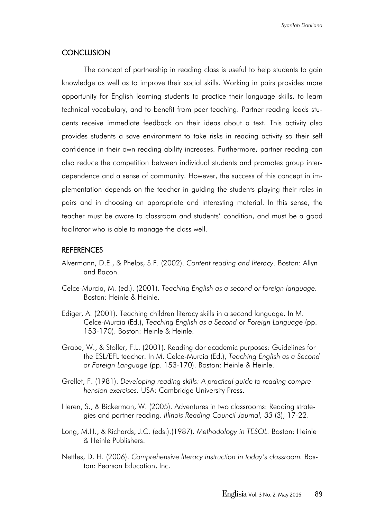## **CONCLUSION**

The concept of partnership in reading class is useful to help students to gain knowledge as well as to improve their social skills. Working in pairs provides more opportunity for English learning students to practice their language skills, to learn technical vocabulary, and to benefit from peer teaching. Partner reading leads students receive immediate feedback on their ideas about a text. This activity also provides students a save environment to take risks in reading activity so their self confidence in their own reading ability increases. Furthermore, partner reading can also reduce the competition between individual students and promotes group interdependence and a sense of community. However, the success of this concept in implementation depends on the teacher in guiding the students playing their roles in pairs and in choosing an appropriate and interesting material. In this sense, the teacher must be aware to classroom and students' condition, and must be a good facilitator who is able to manage the class well.

#### **REFERENCES**

- Alvermann, D.E., & Phelps, S.F. (2002). *Content reading and literacy.* Boston: Allyn and Bacon.
- Celce-Murcia, M. (ed.). (2001). *Teaching English as a second or foreign language.* Boston: Heinle & Heinle.
- Ediger, A. (2001). Teaching children literacy skills in a second language. In M. Celce-Murcia (Ed.), *Teaching English as a Second or Foreign Language* (pp. 153-170). Boston: Heinle & Heinle.
- Grabe, W., & Stoller, F.L. (2001). Reading dor academic purposes: Guidelines for the ESL/EFL teacher. In M. Celce-Murcia (Ed.), *Teaching English as a Second or Foreign Language* (pp. 153-170). Boston: Heinle & Heinle.
- Grellet, F. (1981). *Developing reading skills: A practical guide to reading comprehension exercises.* USA: Cambridge University Press.
- Heren, S., & Bickerman, W. (2005). Adventures in two classrooms: Reading strategies and partner reading. *Illinois Reading Council Journal, 33* (3), 17-22.
- Long, M.H., & Richards, J.C. (eds.).(1987). *Methodology in TESOL.* Boston: Heinle & Heinle Publishers.
- Nettles, D. H. (2006). *Comprehensive literacy instruction in today's classroom.* Boston: Pearson Education, Inc.